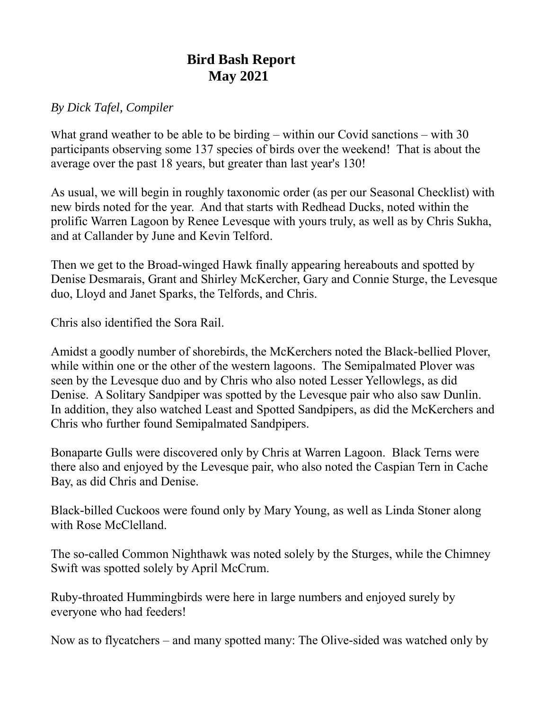## **Bird Bash Report May 2021**

## *By Dick Tafel, Compiler*

What grand weather to be able to be birding – within our Covid sanctions – with 30 participants observing some 137 species of birds over the weekend! That is about the average over the past 18 years, but greater than last year's 130!

As usual, we will begin in roughly taxonomic order (as per our Seasonal Checklist) with new birds noted for the year. And that starts with Redhead Ducks, noted within the prolific Warren Lagoon by Renee Levesque with yours truly, as well as by Chris Sukha, and at Callander by June and Kevin Telford.

Then we get to the Broad-winged Hawk finally appearing hereabouts and spotted by Denise Desmarais, Grant and Shirley McKercher, Gary and Connie Sturge, the Levesque duo, Lloyd and Janet Sparks, the Telfords, and Chris.

Chris also identified the Sora Rail.

Amidst a goodly number of shorebirds, the McKerchers noted the Black-bellied Plover, while within one or the other of the western lagoons. The Semipalmated Plover was seen by the Levesque duo and by Chris who also noted Lesser Yellowlegs, as did Denise. A Solitary Sandpiper was spotted by the Levesque pair who also saw Dunlin. In addition, they also watched Least and Spotted Sandpipers, as did the McKerchers and Chris who further found Semipalmated Sandpipers.

Bonaparte Gulls were discovered only by Chris at Warren Lagoon. Black Terns were there also and enjoyed by the Levesque pair, who also noted the Caspian Tern in Cache Bay, as did Chris and Denise.

Black-billed Cuckoos were found only by Mary Young, as well as Linda Stoner along with Rose McClelland.

The so-called Common Nighthawk was noted solely by the Sturges, while the Chimney Swift was spotted solely by April McCrum.

Ruby-throated Hummingbirds were here in large numbers and enjoyed surely by everyone who had feeders!

Now as to flycatchers – and many spotted many: The Olive-sided was watched only by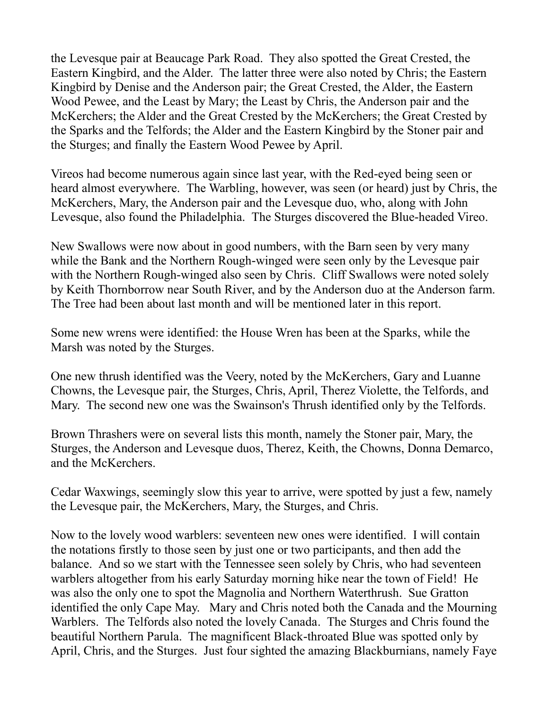the Levesque pair at Beaucage Park Road. They also spotted the Great Crested, the Eastern Kingbird, and the Alder. The latter three were also noted by Chris; the Eastern Kingbird by Denise and the Anderson pair; the Great Crested, the Alder, the Eastern Wood Pewee, and the Least by Mary; the Least by Chris, the Anderson pair and the McKerchers; the Alder and the Great Crested by the McKerchers; the Great Crested by the Sparks and the Telfords; the Alder and the Eastern Kingbird by the Stoner pair and the Sturges; and finally the Eastern Wood Pewee by April.

Vireos had become numerous again since last year, with the Red-eyed being seen or heard almost everywhere. The Warbling, however, was seen (or heard) just by Chris, the McKerchers, Mary, the Anderson pair and the Levesque duo, who, along with John Levesque, also found the Philadelphia. The Sturges discovered the Blue-headed Vireo.

New Swallows were now about in good numbers, with the Barn seen by very many while the Bank and the Northern Rough-winged were seen only by the Levesque pair with the Northern Rough-winged also seen by Chris. Cliff Swallows were noted solely by Keith Thornborrow near South River, and by the Anderson duo at the Anderson farm. The Tree had been about last month and will be mentioned later in this report.

Some new wrens were identified: the House Wren has been at the Sparks, while the Marsh was noted by the Sturges.

One new thrush identified was the Veery, noted by the McKerchers, Gary and Luanne Chowns, the Levesque pair, the Sturges, Chris, April, Therez Violette, the Telfords, and Mary. The second new one was the Swainson's Thrush identified only by the Telfords.

Brown Thrashers were on several lists this month, namely the Stoner pair, Mary, the Sturges, the Anderson and Levesque duos, Therez, Keith, the Chowns, Donna Demarco, and the McKerchers.

Cedar Waxwings, seemingly slow this year to arrive, were spotted by just a few, namely the Levesque pair, the McKerchers, Mary, the Sturges, and Chris.

Now to the lovely wood warblers: seventeen new ones were identified. I will contain the notations firstly to those seen by just one or two participants, and then add the balance. And so we start with the Tennessee seen solely by Chris, who had seventeen warblers altogether from his early Saturday morning hike near the town of Field! He was also the only one to spot the Magnolia and Northern Waterthrush. Sue Gratton identified the only Cape May. Mary and Chris noted both the Canada and the Mourning Warblers. The Telfords also noted the lovely Canada. The Sturges and Chris found the beautiful Northern Parula. The magnificent Black-throated Blue was spotted only by April, Chris, and the Sturges. Just four sighted the amazing Blackburnians, namely Faye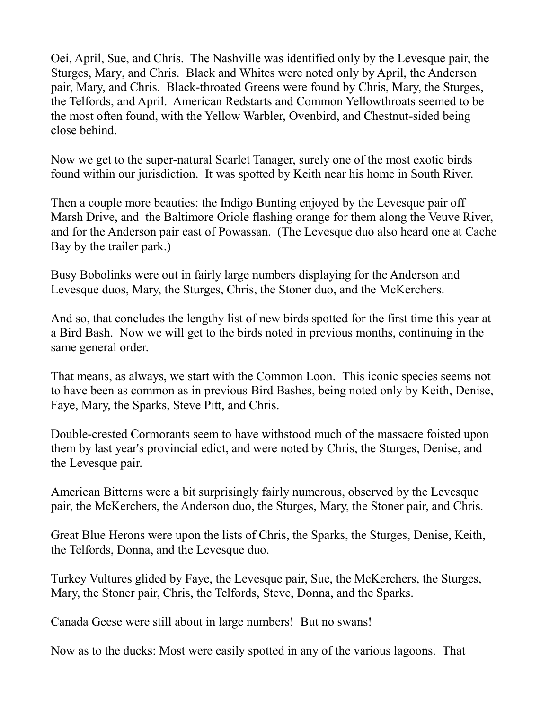Oei, April, Sue, and Chris. The Nashville was identified only by the Levesque pair, the Sturges, Mary, and Chris. Black and Whites were noted only by April, the Anderson pair, Mary, and Chris. Black-throated Greens were found by Chris, Mary, the Sturges, the Telfords, and April. American Redstarts and Common Yellowthroats seemed to be the most often found, with the Yellow Warbler, Ovenbird, and Chestnut-sided being close behind.

Now we get to the super-natural Scarlet Tanager, surely one of the most exotic birds found within our jurisdiction. It was spotted by Keith near his home in South River.

Then a couple more beauties: the Indigo Bunting enjoyed by the Levesque pair off Marsh Drive, and the Baltimore Oriole flashing orange for them along the Veuve River, and for the Anderson pair east of Powassan. (The Levesque duo also heard one at Cache Bay by the trailer park.)

Busy Bobolinks were out in fairly large numbers displaying for the Anderson and Levesque duos, Mary, the Sturges, Chris, the Stoner duo, and the McKerchers.

And so, that concludes the lengthy list of new birds spotted for the first time this year at a Bird Bash. Now we will get to the birds noted in previous months, continuing in the same general order.

That means, as always, we start with the Common Loon. This iconic species seems not to have been as common as in previous Bird Bashes, being noted only by Keith, Denise, Faye, Mary, the Sparks, Steve Pitt, and Chris.

Double-crested Cormorants seem to have withstood much of the massacre foisted upon them by last year's provincial edict, and were noted by Chris, the Sturges, Denise, and the Levesque pair.

American Bitterns were a bit surprisingly fairly numerous, observed by the Levesque pair, the McKerchers, the Anderson duo, the Sturges, Mary, the Stoner pair, and Chris.

Great Blue Herons were upon the lists of Chris, the Sparks, the Sturges, Denise, Keith, the Telfords, Donna, and the Levesque duo.

Turkey Vultures glided by Faye, the Levesque pair, Sue, the McKerchers, the Sturges, Mary, the Stoner pair, Chris, the Telfords, Steve, Donna, and the Sparks.

Canada Geese were still about in large numbers! But no swans!

Now as to the ducks: Most were easily spotted in any of the various lagoons. That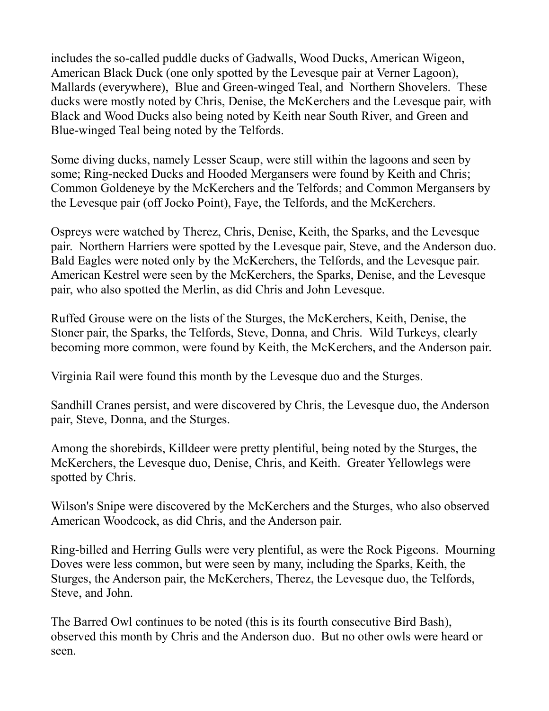includes the so-called puddle ducks of Gadwalls, Wood Ducks, American Wigeon, American Black Duck (one only spotted by the Levesque pair at Verner Lagoon), Mallards (everywhere), Blue and Green-winged Teal, and Northern Shovelers. These ducks were mostly noted by Chris, Denise, the McKerchers and the Levesque pair, with Black and Wood Ducks also being noted by Keith near South River, and Green and Blue-winged Teal being noted by the Telfords.

Some diving ducks, namely Lesser Scaup, were still within the lagoons and seen by some; Ring-necked Ducks and Hooded Mergansers were found by Keith and Chris; Common Goldeneye by the McKerchers and the Telfords; and Common Mergansers by the Levesque pair (off Jocko Point), Faye, the Telfords, and the McKerchers.

Ospreys were watched by Therez, Chris, Denise, Keith, the Sparks, and the Levesque pair. Northern Harriers were spotted by the Levesque pair, Steve, and the Anderson duo. Bald Eagles were noted only by the McKerchers, the Telfords, and the Levesque pair. American Kestrel were seen by the McKerchers, the Sparks, Denise, and the Levesque pair, who also spotted the Merlin, as did Chris and John Levesque.

Ruffed Grouse were on the lists of the Sturges, the McKerchers, Keith, Denise, the Stoner pair, the Sparks, the Telfords, Steve, Donna, and Chris. Wild Turkeys, clearly becoming more common, were found by Keith, the McKerchers, and the Anderson pair.

Virginia Rail were found this month by the Levesque duo and the Sturges.

Sandhill Cranes persist, and were discovered by Chris, the Levesque duo, the Anderson pair, Steve, Donna, and the Sturges.

Among the shorebirds, Killdeer were pretty plentiful, being noted by the Sturges, the McKerchers, the Levesque duo, Denise, Chris, and Keith. Greater Yellowlegs were spotted by Chris.

Wilson's Snipe were discovered by the McKerchers and the Sturges, who also observed American Woodcock, as did Chris, and the Anderson pair.

Ring-billed and Herring Gulls were very plentiful, as were the Rock Pigeons. Mourning Doves were less common, but were seen by many, including the Sparks, Keith, the Sturges, the Anderson pair, the McKerchers, Therez, the Levesque duo, the Telfords, Steve, and John.

The Barred Owl continues to be noted (this is its fourth consecutive Bird Bash), observed this month by Chris and the Anderson duo. But no other owls were heard or seen.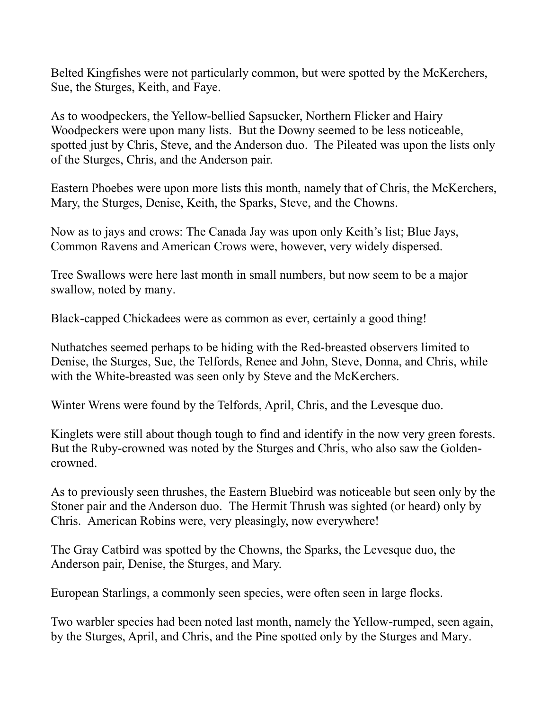Belted Kingfishes were not particularly common, but were spotted by the McKerchers, Sue, the Sturges, Keith, and Faye.

As to woodpeckers, the Yellow-bellied Sapsucker, Northern Flicker and Hairy Woodpeckers were upon many lists. But the Downy seemed to be less noticeable, spotted just by Chris, Steve, and the Anderson duo. The Pileated was upon the lists only of the Sturges, Chris, and the Anderson pair.

Eastern Phoebes were upon more lists this month, namely that of Chris, the McKerchers, Mary, the Sturges, Denise, Keith, the Sparks, Steve, and the Chowns.

Now as to jays and crows: The Canada Jay was upon only Keith's list; Blue Jays, Common Ravens and American Crows were, however, very widely dispersed.

Tree Swallows were here last month in small numbers, but now seem to be a major swallow, noted by many.

Black-capped Chickadees were as common as ever, certainly a good thing!

Nuthatches seemed perhaps to be hiding with the Red-breasted observers limited to Denise, the Sturges, Sue, the Telfords, Renee and John, Steve, Donna, and Chris, while with the White-breasted was seen only by Steve and the McKerchers.

Winter Wrens were found by the Telfords, April, Chris, and the Levesque duo.

Kinglets were still about though tough to find and identify in the now very green forests. But the Ruby-crowned was noted by the Sturges and Chris, who also saw the Goldencrowned.

As to previously seen thrushes, the Eastern Bluebird was noticeable but seen only by the Stoner pair and the Anderson duo. The Hermit Thrush was sighted (or heard) only by Chris. American Robins were, very pleasingly, now everywhere!

The Gray Catbird was spotted by the Chowns, the Sparks, the Levesque duo, the Anderson pair, Denise, the Sturges, and Mary.

European Starlings, a commonly seen species, were often seen in large flocks.

Two warbler species had been noted last month, namely the Yellow-rumped, seen again, by the Sturges, April, and Chris, and the Pine spotted only by the Sturges and Mary.